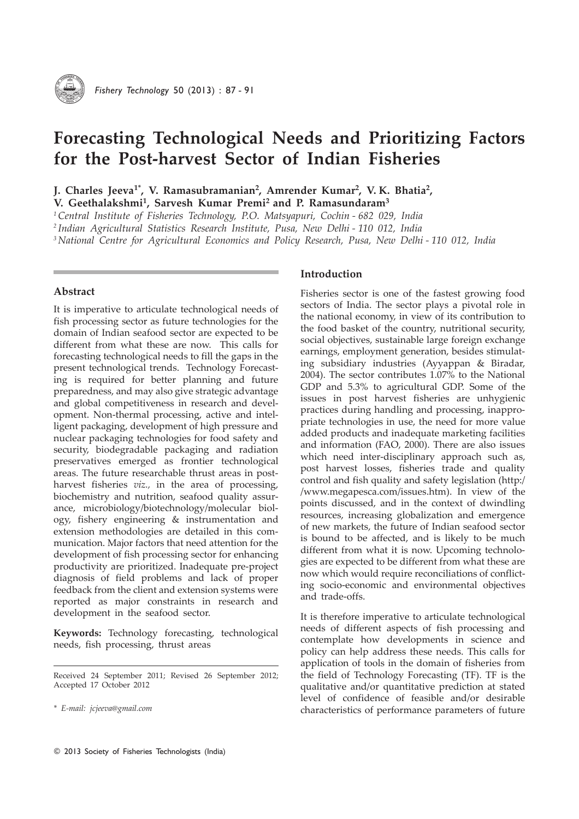

# Forecasting Technological Needs and Prioritizing Factors for the Post-harvest Sector of Indian Fisheries

J. Charles Jeeva<sup>1\*</sup>, V. Ramasubramanian<sup>2</sup>, Amrender Kumar<sup>2</sup>, V. K. Bhatia<sup>2</sup>,

V. Geethalakshmi<sup>1</sup>, Sarvesh Kumar Premi<sup>2</sup> and P. Ramasundaram<sup>3</sup>

<sup>1</sup> Central Institute of Fisheries Technology, P.O. Matsyapuri, Cochin - 682 029, India

2 Indian Agricultural Statistics Research Institute, Pusa, New Delhi - 110 012, India

<sup>3</sup> National Centre for Agricultural Economics and Policy Research, Pusa, New Delhi - 110 012, India

## Abstract

It is imperative to articulate technological needs of fish processing sector as future technologies for the domain of Indian seafood sector are expected to be different from what these are now. This calls for forecasting technological needs to fill the gaps in the present technological trends. Technology Forecasting is required for better planning and future preparedness, and may also give strategic advantage and global competitiveness in research and development. Non-thermal processing, active and intelligent packaging, development of high pressure and nuclear packaging technologies for food safety and security, biodegradable packaging and radiation preservatives emerged as frontier technological areas. The future researchable thrust areas in postharvest fisheries *viz.*, in the area of processing, biochemistry and nutrition, seafood quality assurance, microbiology/biotechnology/molecular biology, fishery engineering & instrumentation and extension methodologies are detailed in this communication. Major factors that need attention for the development of fish processing sector for enhancing productivity are prioritized. Inadequate pre-project diagnosis of field problems and lack of proper feedback from the client and extension systems were reported as major constraints in research and development in the seafood sector.

Keywords: Technology forecasting, technological needs, fish processing, thrust areas

## Introduction

Fisheries sector is one of the fastest growing food sectors of India. The sector plays a pivotal role in the national economy, in view of its contribution to the food basket of the country, nutritional security, social objectives, sustainable large foreign exchange earnings, employment generation, besides stimulating subsidiary industries (Ayyappan & Biradar, 2004). The sector contributes 1.07% to the National GDP and 5.3% to agricultural GDP. Some of the issues in post harvest fisheries are unhygienic practices during handling and processing, inappropriate technologies in use, the need for more value added products and inadequate marketing facilities and information (FAO, 2000). There are also issues which need inter-disciplinary approach such as, post harvest losses, fisheries trade and quality control and fish quality and safety legislation (http:/ /www.megapesca.com/issues.htm). In view of the points discussed, and in the context of dwindling resources, increasing globalization and emergence of new markets, the future of Indian seafood sector is bound to be affected, and is likely to be much different from what it is now. Upcoming technologies are expected to be different from what these are now which would require reconciliations of conflicting socio-economic and environmental objectives and trade-offs.

It is therefore imperative to articulate technological needs of different aspects of fish processing and contemplate how developments in science and policy can help address these needs. This calls for application of tools in the domain of fisheries from the field of Technology Forecasting (TF). TF is the qualitative and/or quantitative prediction at stated level of confidence of feasible and/or desirable characteristics of performance parameters of future

Received 24 September 2011; Revised 26 September 2012; Accepted 17 October 2012

<sup>\*</sup> E-mail: jcjeeva@gmail.com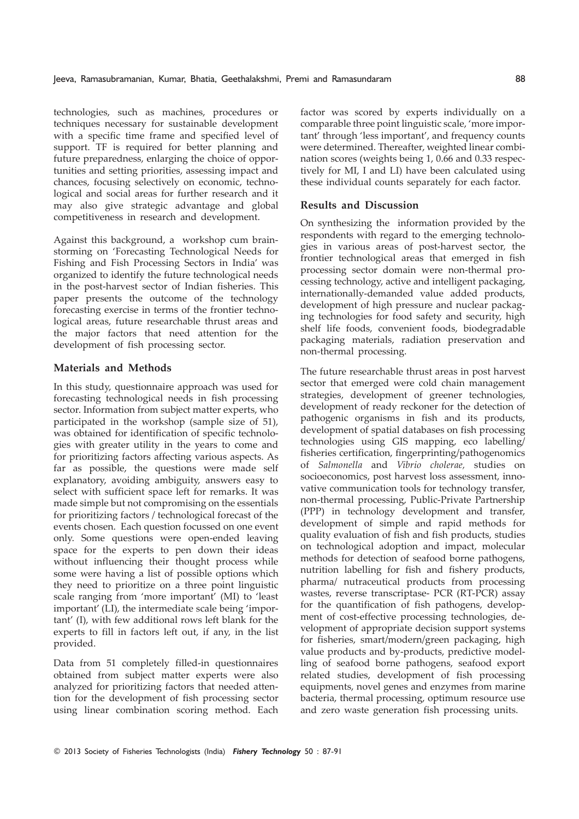technologies, such as machines, procedures or techniques necessary for sustainable development with a specific time frame and specified level of support. TF is required for better planning and future preparedness, enlarging the choice of opportunities and setting priorities, assessing impact and chances, focusing selectively on economic, technological and social areas for further research and it may also give strategic advantage and global competitiveness in research and development.

Against this background, a workshop cum brainstorming on 'Forecasting Technological Needs for Fishing and Fish Processing Sectors in India' was organized to identify the future technological needs in the post-harvest sector of Indian fisheries. This paper presents the outcome of the technology forecasting exercise in terms of the frontier technological areas, future researchable thrust areas and the major factors that need attention for the development of fish processing sector.

## Materials and Methods

In this study, questionnaire approach was used for forecasting technological needs in fish processing sector. Information from subject matter experts, who participated in the workshop (sample size of 51), was obtained for identification of specific technologies with greater utility in the years to come and for prioritizing factors affecting various aspects. As far as possible, the questions were made self explanatory, avoiding ambiguity, answers easy to select with sufficient space left for remarks. It was made simple but not compromising on the essentials for prioritizing factors / technological forecast of the events chosen. Each question focussed on one event only. Some questions were open-ended leaving space for the experts to pen down their ideas without influencing their thought process while some were having a list of possible options which they need to prioritize on a three point linguistic scale ranging from 'more important' (MI) to 'least important' (LI), the intermediate scale being 'important' (I), with few additional rows left blank for the experts to fill in factors left out, if any, in the list provided.

Data from 51 completely filled-in questionnaires obtained from subject matter experts were also analyzed for prioritizing factors that needed attention for the development of fish processing sector using linear combination scoring method. Each factor was scored by experts individually on a comparable three point linguistic scale, 'more important' through 'less important', and frequency counts were determined. Thereafter, weighted linear combination scores (weights being 1, 0.66 and 0.33 respectively for MI, I and LI) have been calculated using these individual counts separately for each factor.

#### Results and Discussion

On synthesizing the information provided by the respondents with regard to the emerging technologies in various areas of post-harvest sector, the frontier technological areas that emerged in fish processing sector domain were non-thermal processing technology, active and intelligent packaging, internationally-demanded value added products, development of high pressure and nuclear packaging technologies for food safety and security, high shelf life foods, convenient foods, biodegradable packaging materials, radiation preservation and non-thermal processing.

The future researchable thrust areas in post harvest sector that emerged were cold chain management strategies, development of greener technologies, development of ready reckoner for the detection of pathogenic organisms in fish and its products, development of spatial databases on fish processing technologies using GIS mapping, eco labelling/ fisheries certification, fingerprinting/pathogenomics of Salmonella and Vibrio cholerae, studies on socioeconomics, post harvest loss assessment, innovative communication tools for technology transfer, non-thermal processing, Public-Private Partnership (PPP) in technology development and transfer, development of simple and rapid methods for quality evaluation of fish and fish products, studies on technological adoption and impact, molecular methods for detection of seafood borne pathogens, nutrition labelling for fish and fishery products, pharma/ nutraceutical products from processing wastes, reverse transcriptase- PCR (RT-PCR) assay for the quantification of fish pathogens, development of cost-effective processing technologies, development of appropriate decision support systems for fisheries, smart/modern/green packaging, high value products and by-products, predictive modelling of seafood borne pathogens, seafood export related studies, development of fish processing equipments, novel genes and enzymes from marine bacteria, thermal processing, optimum resource use and zero waste generation fish processing units.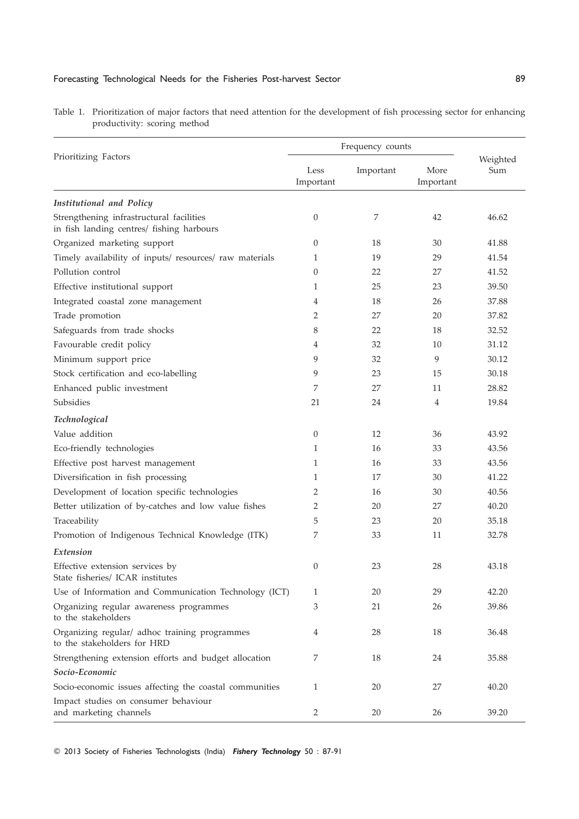### Forecasting Technological Needs for the Fisheries Post-harvest Sector 89

| Prioritizing Factors                                                                  | Frequency counts  |           |                   |                 |
|---------------------------------------------------------------------------------------|-------------------|-----------|-------------------|-----------------|
|                                                                                       | Less<br>Important | Important | More<br>Important | Weighted<br>Sum |
| Institutional and Policy                                                              |                   |           |                   |                 |
| Strengthening infrastructural facilities<br>in fish landing centres/ fishing harbours | $\theta$          | 7         | 42                | 46.62           |
| Organized marketing support                                                           | $\theta$          | 18        | 30                | 41.88           |
| Timely availability of inputs/ resources/ raw materials                               | 1                 | 19        | 29                | 41.54           |
| Pollution control                                                                     | 0                 | 22        | 27                | 41.52           |
| Effective institutional support                                                       | 1                 | 25        | 23                | 39.50           |
| Integrated coastal zone management                                                    | 4                 | 18        | 26                | 37.88           |
| Trade promotion                                                                       | 2                 | 27        | 20                | 37.82           |
| Safeguards from trade shocks                                                          | 8                 | 22        | 18                | 32.52           |
| Favourable credit policy                                                              | 4                 | 32        | 10                | 31.12           |
| Minimum support price                                                                 | 9                 | 32        | 9                 | 30.12           |
| Stock certification and eco-labelling                                                 | 9                 | 23        | 15                | 30.18           |
| Enhanced public investment                                                            | 7                 | 27        | 11                | 28.82           |
| <b>Subsidies</b>                                                                      | 21                | 24        | 4                 | 19.84           |
| Technological                                                                         |                   |           |                   |                 |
| Value addition                                                                        | 0                 | 12        | 36                | 43.92           |
| Eco-friendly technologies                                                             | 1                 | 16        | 33                | 43.56           |
| Effective post harvest management                                                     | 1                 | 16        | 33                | 43.56           |
| Diversification in fish processing                                                    | 1                 | 17        | 30                | 41.22           |
| Development of location specific technologies                                         | 2                 | 16        | 30                | 40.56           |
| Better utilization of by-catches and low value fishes                                 | 2                 | 20        | 27                | 40.20           |
| Traceability                                                                          | 5                 | 23        | 20                | 35.18           |
| Promotion of Indigenous Technical Knowledge (ITK)                                     | 7                 | 33        | 11                | 32.78           |
| Extension                                                                             |                   |           |                   |                 |
| Effective extension services by<br>State fisheries/ ICAR institutes                   | 0                 | 23        | 28                | 43.18           |
| Use of Information and Communication Technology (ICT)                                 | 1                 | 20        | 29                | 42.20           |
| Organizing regular awareness programmes<br>to the stakeholders                        | 3                 | 21        | 26                | 39.86           |
| Organizing regular/ adhoc training programmes<br>to the stakeholders for HRD          | 4                 | 28        | 18                | 36.48           |
| Strengthening extension efforts and budget allocation                                 | 7                 | 18        | 24                | 35.88           |
| Socio-Economic                                                                        |                   |           |                   |                 |
| Socio-economic issues affecting the coastal communities                               | 1                 | 20        | 27                | 40.20           |
| Impact studies on consumer behaviour<br>and marketing channels                        | 2                 | 20        | 26                | 39.20           |

Table 1. Prioritization of major factors that need attention for the development of fish processing sector for enhancing productivity: scoring method

© 2013 Society of Fisheries Technologists (India) Fishery Technology 50 : 87-91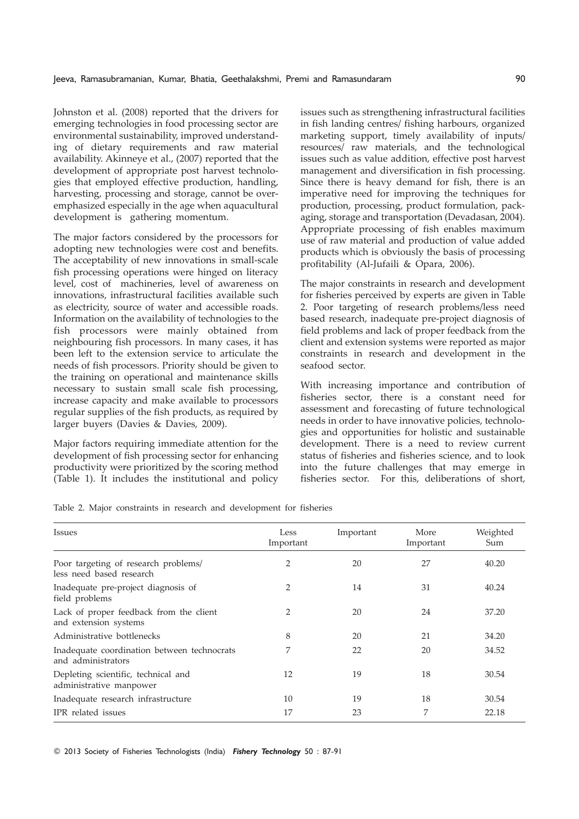Johnston et al. (2008) reported that the drivers for emerging technologies in food processing sector are environmental sustainability, improved understanding of dietary requirements and raw material availability. Akinneye et al., (2007) reported that the development of appropriate post harvest technologies that employed effective production, handling, harvesting, processing and storage, cannot be overemphasized especially in the age when aquacultural development is gathering momentum.

The major factors considered by the processors for adopting new technologies were cost and benefits. The acceptability of new innovations in small-scale fish processing operations were hinged on literacy level, cost of machineries, level of awareness on innovations, infrastructural facilities available such as electricity, source of water and accessible roads. Information on the availability of technologies to the fish processors were mainly obtained from neighbouring fish processors. In many cases, it has been left to the extension service to articulate the needs of fish processors. Priority should be given to the training on operational and maintenance skills necessary to sustain small scale fish processing, increase capacity and make available to processors regular supplies of the fish products, as required by larger buyers (Davies & Davies, 2009).

Major factors requiring immediate attention for the development of fish processing sector for enhancing productivity were prioritized by the scoring method (Table 1). It includes the institutional and policy

issues such as strengthening infrastructural facilities in fish landing centres/ fishing harbours, organized marketing support, timely availability of inputs/ resources/ raw materials, and the technological issues such as value addition, effective post harvest management and diversification in fish processing. Since there is heavy demand for fish, there is an imperative need for improving the techniques for production, processing, product formulation, packaging, storage and transportation (Devadasan, 2004). Appropriate processing of fish enables maximum use of raw material and production of value added products which is obviously the basis of processing profitability (Al-Jufaili & Opara, 2006).

The major constraints in research and development for fisheries perceived by experts are given in Table 2. Poor targeting of research problems/less need based research, inadequate pre-project diagnosis of field problems and lack of proper feedback from the client and extension systems were reported as major constraints in research and development in the seafood sector.

With increasing importance and contribution of fisheries sector, there is a constant need for assessment and forecasting of future technological needs in order to have innovative policies, technologies and opportunities for holistic and sustainable development. There is a need to review current status of fisheries and fisheries science, and to look into the future challenges that may emerge in fisheries sector. For this, deliberations of short,

Table 2. Major constraints in research and development for fisheries

| Issues                                                            | Less<br>Important | Important | More<br>Important | Weighted<br>Sum |
|-------------------------------------------------------------------|-------------------|-----------|-------------------|-----------------|
| Poor targeting of research problems/<br>less need based research  | 2                 | 20        | 27                | 40.20           |
| Inadequate pre-project diagnosis of<br>field problems             | 2                 | 14        | 31                | 40.24           |
| Lack of proper feedback from the client<br>and extension systems  | 2                 | 20        | 24                | 37.20           |
| Administrative bottlenecks                                        | 8                 | 20        | 21                | 34.20           |
| Inadequate coordination between technocrats<br>and administrators | 7                 | 22        | 20                | 34.52           |
| Depleting scientific, technical and<br>administrative manpower    | 12                | 19        | 18                | 30.54           |
| Inadequate research infrastructure                                | 10                | 19        | 18                | 30.54           |
| IPR related issues                                                | 17                | 23        | 7                 | 22.18           |

© 2013 Society of Fisheries Technologists (India) Fishery Technology 50 : 87-91